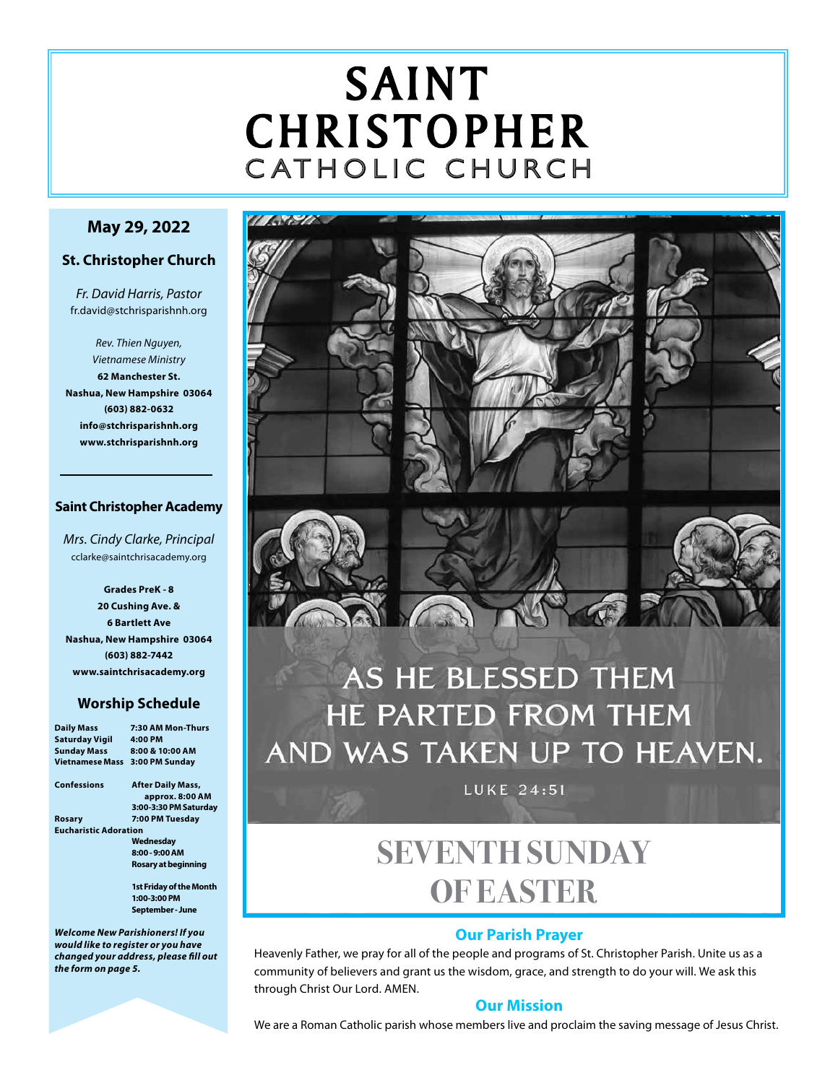# SAINT CHRISTOPHER C ATHOLIC CHURCH

# **May 29, 2022**

# **St. Christopher Church**

*Fr. David Harris, Pastor* fr.david@stchrisparishnh.org

*Rev. Thien Nguyen, Vietnamese Ministry* **62 Manchester St. Nashua, New Hampshire 03064 (603) 882-0632 info@stchrisparishnh.org www.stchrisparishnh.org**

# **Saint Christopher Academy**

*Mrs. Cindy Clarke, Principal* cclarke@saintchrisacademy.org

**Grades PreK - 8 20 Cushing Ave. & 6 Bartlett Ave Nashua, New Hampshire 03064 (603) 882-7442 www.saintchrisacademy.org**

# **Worship Schedule**

| <b>Daily Mass</b>            | 7:30 AM Mon-Thurs                       |
|------------------------------|-----------------------------------------|
| <b>Saturday Vigil</b>        | 4:00 PM                                 |
| <b>Sunday Mass</b>           | 8:00 & 10:00 AM                         |
| <b>Vietnamese Mass</b>       | 3:00 PM Sunday                          |
| Confessions                  | <b>After Daily Mass,</b>                |
|                              | approx. 8:00 AM                         |
|                              | 3:00-3:30 PM Saturday                   |
| Rosary                       | 7:00 PM Tuesday                         |
| <b>Eucharistic Adoration</b> |                                         |
|                              | Wednesday                               |
|                              | 8:00 - 9:00 AM                          |
|                              | Rosary at beginning                     |
|                              | <b>1st Friday of the Month</b>          |
|                              | 1:00-3:00 PM                            |
|                              | September - June                        |
|                              | <b>Welcome New Parishioners! If you</b> |

*would like to register or you have changed your address, please fill out the form on page 5.*



# AS HE BLESSED THEM HE PARTED FROM THEM AND WAS TAKEN UP TO HEAVEN.

**LUKE 24:51** 

# **SEVENTH SUNDAY OF EASTER**

# **Our Parish Prayer**

Heavenly Father, we pray for all of the people and programs of St. Christopher Parish. Unite us as a community of believers and grant us the wisdom, grace, and strength to do your will. We ask this through Christ Our Lord. AMEN.

# **Our Mission**

We are a Roman Catholic parish whose members live and proclaim the saving message of Jesus Christ.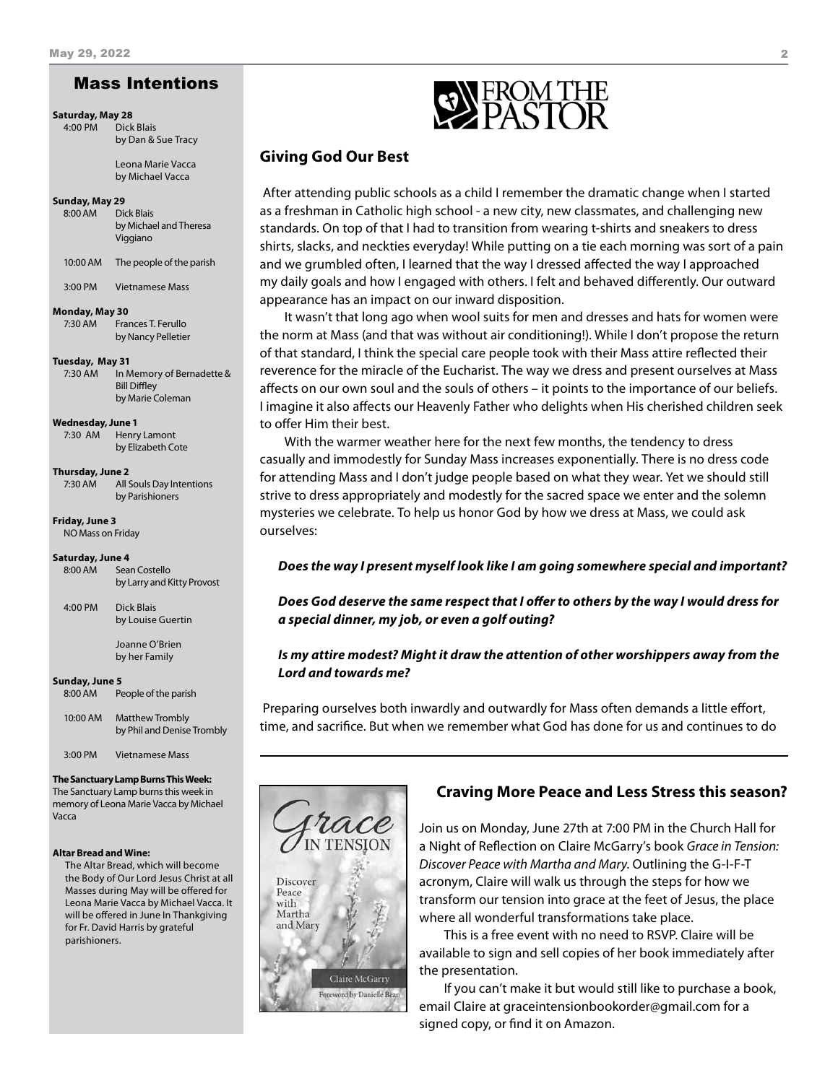# Mass Intentions

**Saturday, May 28**

4:00 PM Dick Blais by Dan & Sue Tracy

> Leona Marie Vacca by Michael Vacca

#### **Sunday, May 29**

8:00 AM Dick Blais by Michael and Theresa Viggiano

10:00 AM The people of the parish

3:00 PM Vietnamese Mass

#### **Monday, May 30**

7:30 AM Frances T. Ferullo by Nancy Pelletier

#### **Tuesday, May 31**

7:30 AM In Memory of Bernadette & Bill Diffley by Marie Coleman

#### **Wednesday, June 1**

7:30 AM Henry Lamont by Elizabeth Cote

#### **Thursday, June 2**

7:30 AM All Souls Day Intentions by Parishioners

**Friday, June 3** NO Mass on Friday

#### **Saturday, June 4**

| 8:00 AM | Sean Costello              |
|---------|----------------------------|
|         | by Larry and Kitty Provost |

4:00 PM Dick Blais by Louise Guertin

> Joanne O'Brien by her Family

#### **Sunday, June 5**

8:00 AM People of the parish

| 10:00 AM | <b>Matthew Trombly</b>     |
|----------|----------------------------|
|          | by Phil and Denise Trombly |
|          |                            |

3:00 PM Vietnamese Mass

### **The Sanctuary Lamp Burns This Week:**

The Sanctuary Lamp burns this week in memory of Leona Marie Vacca by Michael Vacca

#### **Altar Bread and Wine:**

The Altar Bread, which will become the Body of Our Lord Jesus Christ at all Masses during May will be offered for Leona Marie Vacca by Michael Vacca. It will be offered in June In Thankgiving for Fr. David Harris by grateful parishioners.



# **Giving God Our Best**

 After attending public schools as a child I remember the dramatic change when I started as a freshman in Catholic high school - a new city, new classmates, and challenging new standards. On top of that I had to transition from wearing t-shirts and sneakers to dress shirts, slacks, and neckties everyday! While putting on a tie each morning was sort of a pain and we grumbled often, I learned that the way I dressed affected the way I approached my daily goals and how I engaged with others. I felt and behaved differently. Our outward appearance has an impact on our inward disposition.

It wasn't that long ago when wool suits for men and dresses and hats for women were the norm at Mass (and that was without air conditioning!). While I don't propose the return of that standard, I think the special care people took with their Mass attire reflected their reverence for the miracle of the Eucharist. The way we dress and present ourselves at Mass affects on our own soul and the souls of others – it points to the importance of our beliefs. I imagine it also affects our Heavenly Father who delights when His cherished children seek to offer Him their best.

With the warmer weather here for the next few months, the tendency to dress casually and immodestly for Sunday Mass increases exponentially. There is no dress code for attending Mass and I don't judge people based on what they wear. Yet we should still strive to dress appropriately and modestly for the sacred space we enter and the solemn mysteries we celebrate. To help us honor God by how we dress at Mass, we could ask ourselves:

#### *Does the way I present myself look like I am going somewhere special and important?*

*Does God deserve the same respect that I offer to others by the way I would dress for a special dinner, my job, or even a golf outing?*

## *Is my attire modest? Might it draw the attention of other worshippers away from the Lord and towards me?*

 Preparing ourselves both inwardly and outwardly for Mass often demands a little effort, time, and sacrifice. But when we remember what God has done for us and continues to do



## **Craving More Peace and Less Stress this season?**

Join us on Monday, June 27th at 7:00 PM in the Church Hall for a Night of Reflection on Claire McGarry's book *Grace in Tension: Discover Peace with Martha and Mary*. Outlining the G-I-F-T acronym, Claire will walk us through the steps for how we transform our tension into grace at the feet of Jesus, the place where all wonderful transformations take place.

This is a free event with no need to RSVP. Claire will be available to sign and sell copies of her book immediately after the presentation.

If you can't make it but would still like to purchase a book, email Claire at graceintensionbookorder@gmail.com for a signed copy, or find it on Amazon.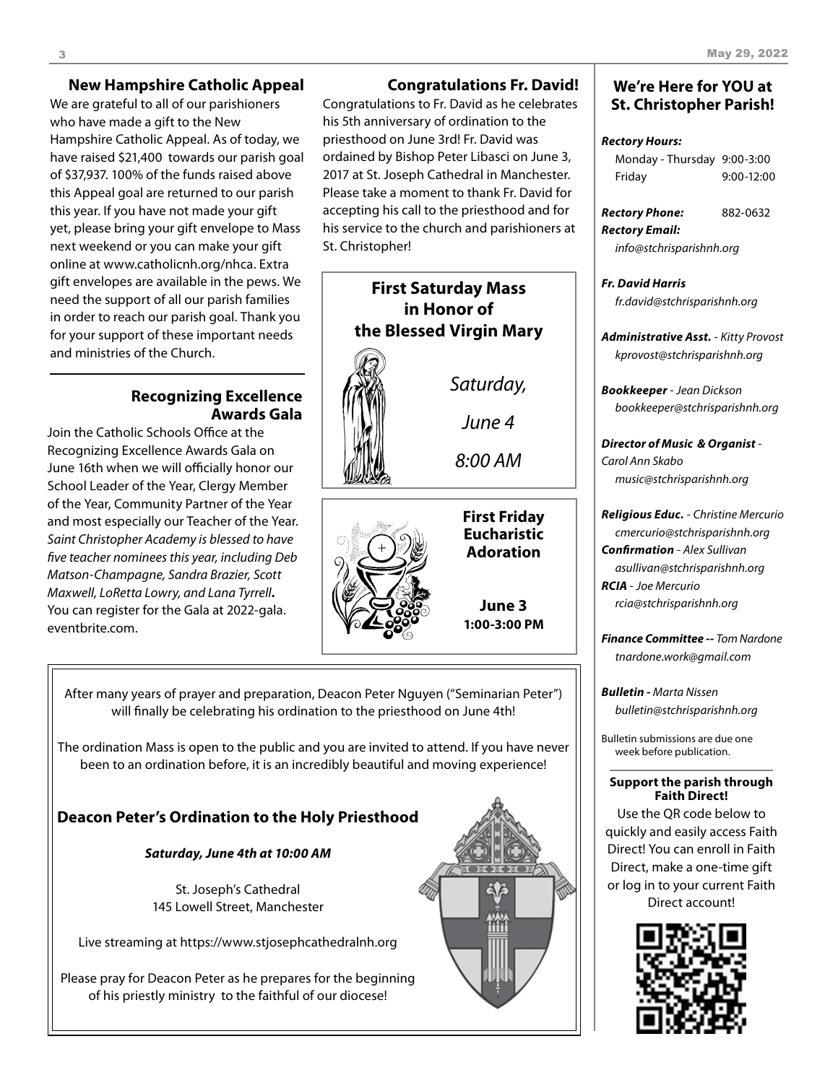## **New Hampshire Catholic Appeal**

We are grateful to all of our parishioners who have made a gift to the New Hampshire Catholic Appeal. As of today, we have raised \$21,400 towards our parish goal of \$37,937. 100% of the funds raised above this Appeal goal are returned to our parish this year. If you have not made your gift yet, please bring your gift envelope to Mass next weekend or you can make your gift online at www.catholicnh.org/nhca. Extra gift envelopes are available in the pews. We need the support of all our parish families in order to reach our parish goal. Thank you for your support of these important needs and ministries of the Church.

# **Recognizing Excellence Awards Gala**

Join the Catholic Schools Office at the Recognizing Excellence Awards Gala on June 16th when we will officially honor our School Leader of the Year, Clergy Member of the Year, Community Partner of the Year and most especially our Teacher of the Year. *Saint Christopher Academy is blessed to have five teacher nominees this year, including Deb Matson-Champagne, Sandra Brazier, Scott Maxwell, LoRetta Lowry, and Lana Tyrrell***.** You can register for the Gala at 2022-gala. eventbrite.com.

# **Congratulations Fr. David!**

Congratulations to Fr. David as he celebrates his 5th anniversary of ordination to the priesthood on June 3rd! Fr. David was ordained by Bishop Peter Libasci on June 3, 2017 at St. Joseph Cathedral in Manchester. Please take a moment to thank Fr. David for accepting his call to the priesthood and for his service to the church and parishioners at St. Christopher!

# **First Saturday Mass in Honor of the Blessed Virgin Mary**



*June 4*

*Saturday,*

*8:00 AM*



**First Friday Eucharistic Adoration**

**June 3 1:00-3:00 PM**

After many years of prayer and preparation, Deacon Peter Nguyen ("Seminarian Peter") will finally be celebrating his ordination to the priesthood on June 4th!

The ordination Mass is open to the public and you are invited to attend. If you have never been to an ordination before, it is an incredibly beautiful and moving experience!

# **Deacon Peter's Ordination to the Holy Priesthood**

*Saturday, June 4th at 10:00 AM*

St. Joseph's Cathedral 145 Lowell Street, Manchester

Live streaming at https://www.stjosephcathedralnh.org

Please pray for Deacon Peter as he prepares for the beginning of his priestly ministry to the faithful of our diocese!



# **We're Here for YOU at St. Christopher Parish!**

### *Rectory Hours:*

| Monday - Thursday 9:00-3:00 |            |
|-----------------------------|------------|
| Friday                      | 9:00-12:00 |

*Rectory Phone:* 882-0632 *Rectory Email:*

*info@stchrisparishnh.org*

*Fr. David Harris fr.david@stchrisparishnh.org*

*Administrative Asst.* - *Kitty Provost kprovost@stchrisparishnh.org*

*Bookkeeper* - *Jean Dickson bookkeeper@stchrisparishnh.org*

*Director of Music & Organist* - *Carol Ann Skabo music@stchrisparishnh.org*

*Religious Educ.* - *Christine Mercurio cmercurio@stchrisparishnh.org Confirmation* - *Alex Sullivan asullivan@stchrisparishnh.org RCIA* - *Joe Mercurio rcia@stchrisparishnh.org*

*Finance Committee -- Tom Nardone tnardone.work@gmail.com*

*Bulletin - Marta Nissen bulletin@stchrisparishnh.org*

Bulletin submissions are due one week before publication.

### **Support the parish through Faith Direct!**

Use the QR code below to quickly and easily access Faith Direct! You can enroll in Faith Direct, make a one-time gift or log in to your current Faith Direct account!

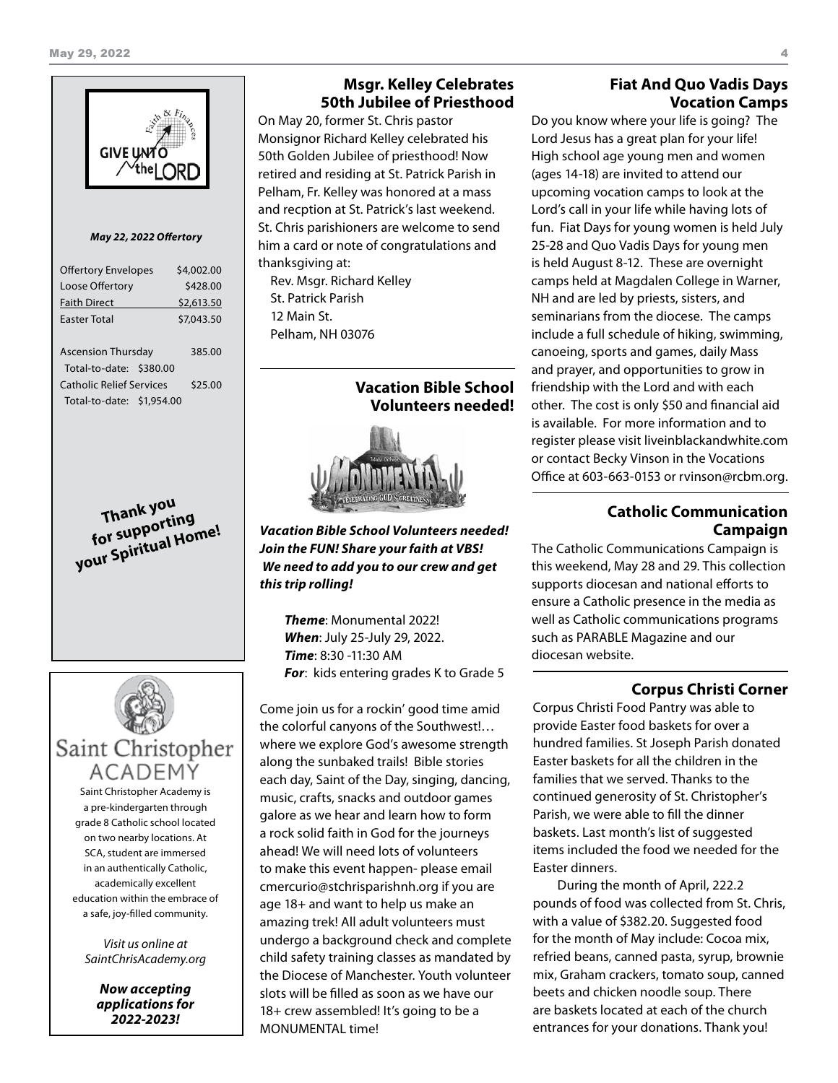

#### *May 22, 2022 Offertory*

| <b>Offertory Envelopes</b>      | \$4,002.00 |
|---------------------------------|------------|
| Loose Offertory                 | \$428.00   |
| <b>Faith Direct</b>             | \$2,613.50 |
| <b>Faster Total</b>             | \$7,043.50 |
|                                 |            |
| <b>Ascension Thursday</b>       | 385.00     |
| Total-to-date: \$380.00         |            |
| <b>Catholic Relief Services</b> | \$25.00    |
| Total-to-date: \$1,954.00       |            |
|                                 |            |

**Thank you for supporting your Spiritual Home!**



Saint Christopher Academy is a pre-kindergarten through grade 8 Catholic school located on two nearby locations. At SCA, student are immersed in an authentically Catholic, academically excellent education within the embrace of a safe, joy-filled community.

*Visit us online at SaintChrisAcademy.org*

> *Now accepting applications for 2022-2023!*

# **Msgr. Kelley Celebrates 50th Jubilee of Priesthood**

On May 20, former St. Chris pastor Monsignor Richard Kelley celebrated his 50th Golden Jubilee of priesthood! Now retired and residing at St. Patrick Parish in Pelham, Fr. Kelley was honored at a mass and recption at St. Patrick's last weekend. St. Chris parishioners are welcome to send him a card or note of congratulations and thanksgiving at:

Rev. Msgr. Richard Kelley St. Patrick Parish 12 Main St. Pelham, NH 03076

> **Vacation Bible School Volunteers needed!**



*Vacation Bible School Volunteers needed! Join the FUN! Share your faith at VBS! We need to add you to our crew and get this trip rolling!*

*Theme*: Monumental 2022! *When*: July 25-July 29, 2022. *Time*: 8:30 -11:30 AM *For*: kids entering grades K to Grade 5

Come join us for a rockin' good time amid the colorful canyons of the Southwest!… where we explore God's awesome strength along the sunbaked trails! Bible stories each day, Saint of the Day, singing, dancing, music, crafts, snacks and outdoor games galore as we hear and learn how to form a rock solid faith in God for the journeys ahead! We will need lots of volunteers to make this event happen- please email cmercurio@stchrisparishnh.org if you are age 18+ and want to help us make an amazing trek! All adult volunteers must undergo a background check and complete child safety training classes as mandated by the Diocese of Manchester. Youth volunteer slots will be filled as soon as we have our 18+ crew assembled! It's going to be a MONUMENTAL time!

# **Fiat And Quo Vadis Days Vocation Camps**

Do you know where your life is going? The Lord Jesus has a great plan for your life! High school age young men and women (ages 14-18) are invited to attend our upcoming vocation camps to look at the Lord's call in your life while having lots of fun. Fiat Days for young women is held July 25-28 and Quo Vadis Days for young men is held August 8-12. These are overnight camps held at Magdalen College in Warner, NH and are led by priests, sisters, and seminarians from the diocese. The camps include a full schedule of hiking, swimming, canoeing, sports and games, daily Mass and prayer, and opportunities to grow in friendship with the Lord and with each other. The cost is only \$50 and financial aid is available. For more information and to register please visit liveinblackandwhite.com or contact Becky Vinson in the Vocations Office at 603-663-0153 or rvinson@rcbm.org.

# **Catholic Communication Campaign**

The Catholic Communications Campaign is this weekend, May 28 and 29. This collection supports diocesan and national efforts to ensure a Catholic presence in the media as well as Catholic communications programs such as PARABLE Magazine and our diocesan website.

# **Corpus Christi Corner**

Corpus Christi Food Pantry was able to provide Easter food baskets for over a hundred families. St Joseph Parish donated Easter baskets for all the children in the families that we served. Thanks to the continued generosity of St. Christopher's Parish, we were able to fill the dinner baskets. Last month's list of suggested items included the food we needed for the Easter dinners.

During the month of April, 222.2 pounds of food was collected from St. Chris, with a value of \$382.20. Suggested food for the month of May include: Cocoa mix, refried beans, canned pasta, syrup, brownie mix, Graham crackers, tomato soup, canned beets and chicken noodle soup. There are baskets located at each of the church entrances for your donations. Thank you!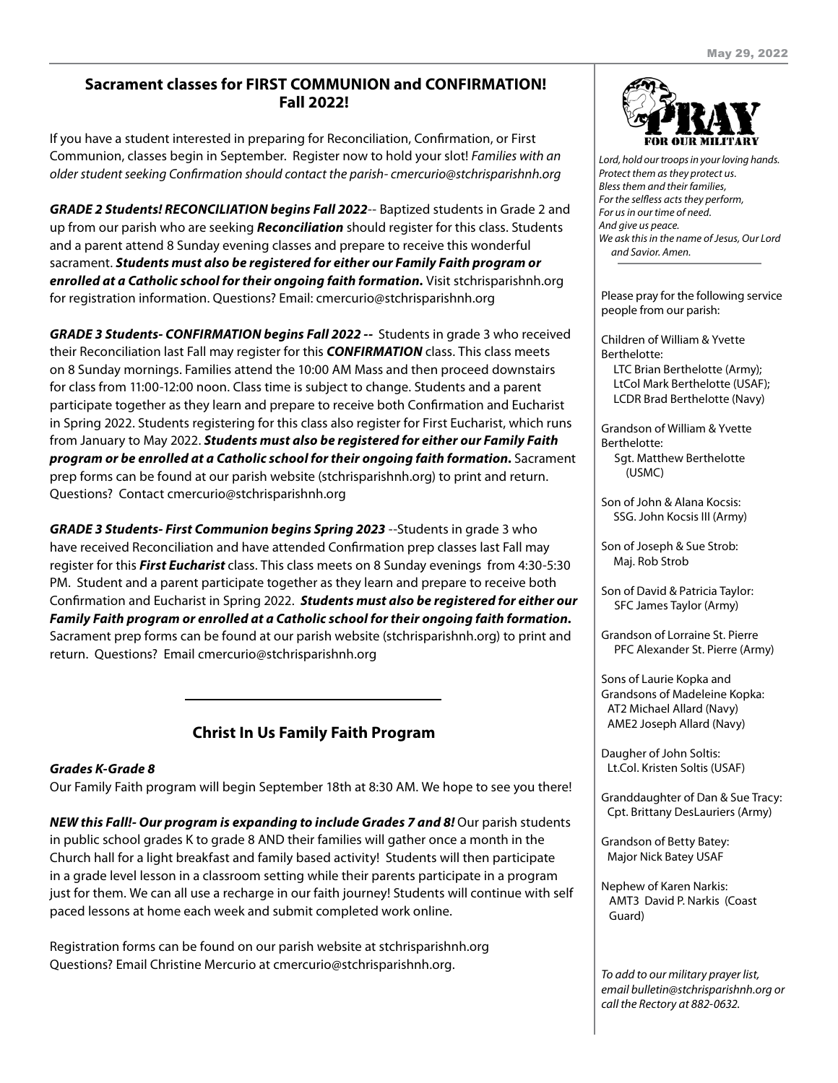# **Sacrament classes for FIRST COMMUNION and CONFIRMATION! Fall 2022!**

If you have a student interested in preparing for Reconciliation, Confirmation, or First Communion, classes begin in September. Register now to hold your slot! *Families with an older student seeking Confirmation should contact the parish- cmercurio@stchrisparishnh.org*

*GRADE 2 Students! RECONCILIATION begins Fall 2022*-- Baptized students in Grade 2 and up from our parish who are seeking *Reconciliation* should register for this class. Students and a parent attend 8 Sunday evening classes and prepare to receive this wonderful sacrament. *Students must also be registered for either our Family Faith program or enrolled at a Catholic school for their ongoing faith formation.* Visit stchrisparishnh.org for registration information. Questions? Email: cmercurio@stchrisparishnh.org

*GRADE 3 Students- CONFIRMATION begins Fall 2022 --* Students in grade 3 who received their Reconciliation last Fall may register for this *CONFIRMATION* class. This class meets on 8 Sunday mornings. Families attend the 10:00 AM Mass and then proceed downstairs for class from 11:00-12:00 noon. Class time is subject to change. Students and a parent participate together as they learn and prepare to receive both Confirmation and Eucharist in Spring 2022. Students registering for this class also register for First Eucharist, which runs from January to May 2022. *Students must also be registered for either our Family Faith program or be enrolled at a Catholic school for their ongoing faith formation.* Sacrament prep forms can be found at our parish website (stchrisparishnh.org) to print and return. Questions? Contact cmercurio@stchrisparishnh.org

*GRADE 3 Students- First Communion begins Spring 2023* --Students in grade 3 who have received Reconciliation and have attended Confirmation prep classes last Fall may register for this *First Eucharist* class. This class meets on 8 Sunday evenings from 4:30-5:30 PM. Student and a parent participate together as they learn and prepare to receive both Confirmation and Eucharist in Spring 2022. *Students must also be registered for either our Family Faith program or enrolled at a Catholic school for their ongoing faith formation.* Sacrament prep forms can be found at our parish website (stchrisparishnh.org) to print and return. Questions? Email cmercurio@stchrisparishnh.org

# **Christ In Us Family Faith Program**

# *Grades K-Grade 8*

Our Family Faith program will begin September 18th at 8:30 AM. We hope to see you there!

*NEW this Fall!- Our program is expanding to include Grades 7 and 8! Our parish students* in public school grades K to grade 8 AND their families will gather once a month in the Church hall for a light breakfast and family based activity! Students will then participate in a grade level lesson in a classroom setting while their parents participate in a program just for them. We can all use a recharge in our faith journey! Students will continue with self paced lessons at home each week and submit completed work online.

Registration forms can be found on our parish website at stchrisparishnh.org Questions? Email Christine Mercurio at cmercurio@stchrisparishnh.org.



*Lord, hold our troops in your loving hands. Protect them as they protect us. Bless them and their families, For the selfless acts they perform, For us in our time of need. And give us peace. We ask this in the name of Jesus, Our Lord and Savior. Amen.*

Please pray for the following service people from our parish:

Children of William & Yvette Berthelotte: LTC Brian Berthelotte (Army); LtCol Mark Berthelotte (USAF); LCDR Brad Berthelotte (Navy)

Grandson of William & Yvette Berthelotte: Sgt. Matthew Berthelotte

(USMC)

Son of John & Alana Kocsis: SSG. John Kocsis III (Army)

Son of Joseph & Sue Strob: Maj. Rob Strob

Son of David & Patricia Taylor: SFC James Taylor (Army)

Grandson of Lorraine St. Pierre PFC Alexander St. Pierre (Army)

Sons of Laurie Kopka and Grandsons of Madeleine Kopka: AT2 Michael Allard (Navy) AME2 Joseph Allard (Navy)

Daugher of John Soltis: Lt.Col. Kristen Soltis (USAF)

Granddaughter of Dan & Sue Tracy: Cpt. Brittany DesLauriers (Army)

Grandson of Betty Batey: Major Nick Batey USAF

Nephew of Karen Narkis: AMT3 David P. Narkis (Coast Guard)

*To add to our military prayer list, email bulletin@stchrisparishnh.org or call the Rectory at 882-0632.*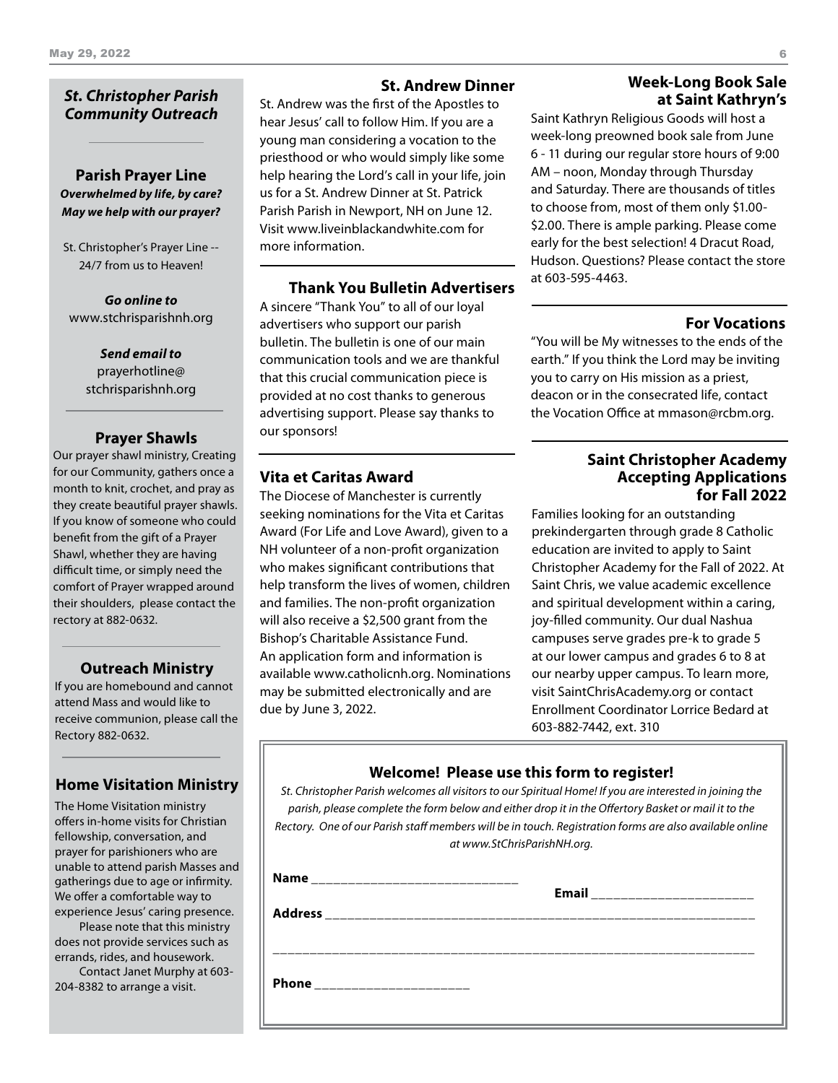# *St. Christopher Parish Community Outreach*

# **Parish Prayer Line** *Overwhelmed by life, by care? May we help with our prayer?*

St. Christopher's Prayer Line -- 24/7 from us to Heaven!

*Go online to* www.stchrisparishnh.org

> *Send email to* prayerhotline@ stchrisparishnh.org

## **Prayer Shawls**

Our prayer shawl ministry, Creating for our Community, gathers once a month to knit, crochet, and pray as they create beautiful prayer shawls. If you know of someone who could benefit from the gift of a Prayer Shawl, whether they are having difficult time, or simply need the comfort of Prayer wrapped around their shoulders, please contact the rectory at 882-0632.

## **Outreach Ministry**

If you are homebound and cannot attend Mass and would like to receive communion, please call the Rectory 882-0632.

# **Home Visitation Ministry**

The Home Visitation ministry offers in-home visits for Christian fellowship, conversation, and prayer for parishioners who are unable to attend parish Masses and gatherings due to age or infirmity. We offer a comfortable way to experience Jesus' caring presence.

Please note that this ministry does not provide services such as errands, rides, and housework.

Contact Janet Murphy at 603- 204-8382 to arrange a visit.

# **St. Andrew Dinner**

St. Andrew was the first of the Apostles to hear Jesus' call to follow Him. If you are a young man considering a vocation to the priesthood or who would simply like some help hearing the Lord's call in your life, join us for a St. Andrew Dinner at St. Patrick Parish Parish in Newport, NH on June 12. Visit www.liveinblackandwhite.com for more information.

**Thank You Bulletin Advertisers**

A sincere "Thank You" to all of our loyal advertisers who support our parish bulletin. The bulletin is one of our main communication tools and we are thankful that this crucial communication piece is provided at no cost thanks to generous advertising support. Please say thanks to our sponsors!

# **Vita et Caritas Award**

The Diocese of Manchester is currently seeking nominations for the Vita et Caritas Award (For Life and Love Award), given to a NH volunteer of a non-profit organization who makes significant contributions that help transform the lives of women, children and families. The non-profit organization will also receive a \$2,500 grant from the Bishop's Charitable Assistance Fund. An application form and information is available www.catholicnh.org. Nominations may be submitted electronically and are due by June 3, 2022.

# **Week-Long Book Sale at Saint Kathryn's**

Saint Kathryn Religious Goods will host a week-long preowned book sale from June 6 - 11 during our regular store hours of 9:00 AM – noon, Monday through Thursday and Saturday. There are thousands of titles to choose from, most of them only \$1.00- \$2.00. There is ample parking. Please come early for the best selection! 4 Dracut Road, Hudson. Questions? Please contact the store at 603-595-4463.

## **For Vocations**

"You will be My witnesses to the ends of the earth." If you think the Lord may be inviting you to carry on His mission as a priest, deacon or in the consecrated life, contact the Vocation Office at mmason@rcbm.org.

# **Saint Christopher Academy Accepting Applications for Fall 2022**

Families looking for an outstanding prekindergarten through grade 8 Catholic education are invited to apply to Saint Christopher Academy for the Fall of 2022. At Saint Chris, we value academic excellence and spiritual development within a caring, joy-filled community. Our dual Nashua campuses serve grades pre-k to grade 5 at our lower campus and grades 6 to 8 at our nearby upper campus. To learn more, visit SaintChrisAcademy.org or contact Enrollment Coordinator Lorrice Bedard at 603-882-7442, ext. 310

# **Welcome! Please use this form to register!**

*St. Christopher Parish welcomes all visitors to our Spiritual Home! If you are interested in joining the parish, please complete the form below and either drop it in the Offertory Basket or mail it to the Rectory. One of our Parish staff members will be in touch. Registration forms are also available online at www.StChrisParishNH.org.*

| <b>Name</b>                   | Email _______________________ |  |
|-------------------------------|-------------------------------|--|
| <b>Address</b>                |                               |  |
|                               |                               |  |
| Phone _______________________ |                               |  |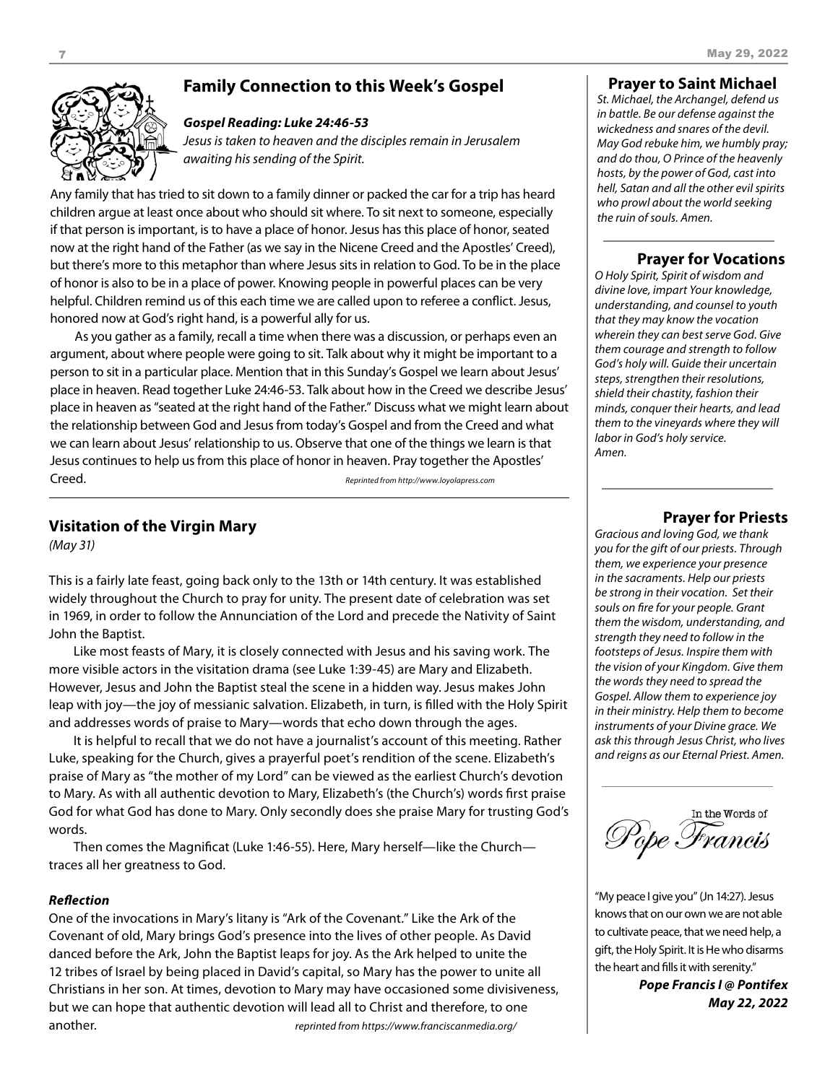

# **Family Connection to this Week's Gospel**

#### *Gospel Reading: Luke 24:46-53*

*Jesus is taken to heaven and the disciples remain in Jerusalem awaiting his sending of the Spirit.*

Any family that has tried to sit down to a family dinner or packed the car for a trip has heard children argue at least once about who should sit where. To sit next to someone, especially if that person is important, is to have a place of honor. Jesus has this place of honor, seated now at the right hand of the Father (as we say in the Nicene Creed and the Apostles' Creed), but there's more to this metaphor than where Jesus sits in relation to God. To be in the place of honor is also to be in a place of power. Knowing people in powerful places can be very helpful. Children remind us of this each time we are called upon to referee a conflict. Jesus, honored now at God's right hand, is a powerful ally for us.

As you gather as a family, recall a time when there was a discussion, or perhaps even an argument, about where people were going to sit. Talk about why it might be important to a person to sit in a particular place. Mention that in this Sunday's Gospel we learn about Jesus' place in heaven. Read together Luke 24:46-53. Talk about how in the Creed we describe Jesus' place in heaven as "seated at the right hand of the Father." Discuss what we might learn about the relationship between God and Jesus from today's Gospel and from the Creed and what we can learn about Jesus' relationship to us. Observe that one of the things we learn is that Jesus continues to help us from this place of honor in heaven. Pray together the Apostles' Creed. *Reprinted from http://www.loyolapress.com*

# **Visitation of the Virgin Mary**

*(May 31)*

This is a fairly late feast, going back only to the 13th or 14th century. It was established widely throughout the Church to pray for unity. The present date of celebration was set in 1969, in order to follow the Annunciation of the Lord and precede the Nativity of Saint John the Baptist.

Like most feasts of Mary, it is closely connected with Jesus and his saving work. The more visible actors in the visitation drama (see Luke 1:39-45) are Mary and Elizabeth. However, Jesus and John the Baptist steal the scene in a hidden way. Jesus makes John leap with joy—the joy of messianic salvation. Elizabeth, in turn, is filled with the Holy Spirit and addresses words of praise to Mary—words that echo down through the ages.

It is helpful to recall that we do not have a journalist's account of this meeting. Rather Luke, speaking for the Church, gives a prayerful poet's rendition of the scene. Elizabeth's praise of Mary as "the mother of my Lord" can be viewed as the earliest Church's devotion to Mary. As with all authentic devotion to Mary, Elizabeth's (the Church's) words first praise God for what God has done to Mary. Only secondly does she praise Mary for trusting God's words.

Then comes the Magnificat (Luke 1:46-55). Here, Mary herself—like the Church traces all her greatness to God.

## *Reflection*

One of the invocations in Mary's litany is "Ark of the Covenant." Like the Ark of the Covenant of old, Mary brings God's presence into the lives of other people. As David danced before the Ark, John the Baptist leaps for joy. As the Ark helped to unite the 12 tribes of Israel by being placed in David's capital, so Mary has the power to unite all Christians in her son. At times, devotion to Mary may have occasioned some divisiveness, but we can hope that authentic devotion will lead all to Christ and therefore, to one another. *reprinted from https://www.franciscanmedia.org/*

## **Prayer to Saint Michael**

*St. Michael, the Archangel, defend us in battle. Be our defense against the wickedness and snares of the devil. May God rebuke him, we humbly pray; and do thou, O Prince of the heavenly hosts, by the power of God, cast into hell, Satan and all the other evil spirits who prowl about the world seeking the ruin of souls. Amen.*

# **Prayer for Vocations**

*O Holy Spirit, Spirit of wisdom and divine love, impart Your knowledge, understanding, and counsel to youth that they may know the vocation wherein they can best serve God. Give them courage and strength to follow God's holy will. Guide their uncertain steps, strengthen their resolutions, shield their chastity, fashion their minds, conquer their hearts, and lead them to the vineyards where they will labor in God's holy service. Amen.*

# **Prayer for Priests**

*Gracious and loving God, we thank you for the gift of our priests. Through them, we experience your presence in the sacraments. Help our priests be strong in their vocation. Set their souls on fire for your people. Grant them the wisdom, understanding, and strength they need to follow in the footsteps of Jesus. Inspire them with the vision of your Kingdom. Give them the words they need to spread the Gospel. Allow them to experience joy in their ministry. Help them to become instruments of your Divine grace. We ask this through Jesus Christ, who lives and reigns as our Eternal Priest. Amen.*

In the Words of Pope Francis

"My peace I give you" (Jn 14:27). Jesus knows that on our own we are not able to cultivate peace, that we need help, a gift, the Holy Spirit. It is He who disarms the heart and fills it with serenity."

> *Pope Francis I @ Pontifex May 22, 2022*